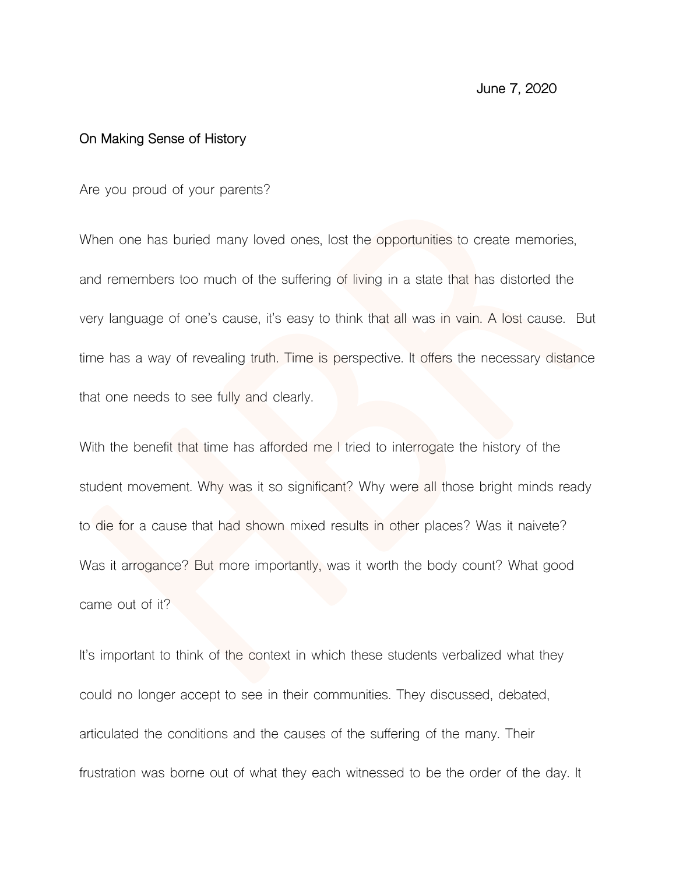## **On Making Sense of History**

Are you proud of your parents?

When one has buried many loved ones, lost the opportunities to create memories, and remembers too much of the suffering of living in a state that has distorted the very language of one's cause, it's easy to think that all was in vain. A lost cause. But time has a way of revealing truth. Time is perspective. It offers the necessary distance that one needs to see fully and clearly.

With the benefit that time has afforded me I tried to interrogate the history of the student movement. Why was it so significant? Why were all those bright minds ready to die for a cause that had shown mixed results in other places? Was it naivete? Was it arrogance? But more importantly, was it worth the body count? What good came out of it?

It's important to think of the context in which these students verbalized what they could no longer accept to see in their communities. They discussed, debated, articulated the conditions and the causes of the suffering of the many. Their frustration was borne out of what they each witnessed to be the order of the day. It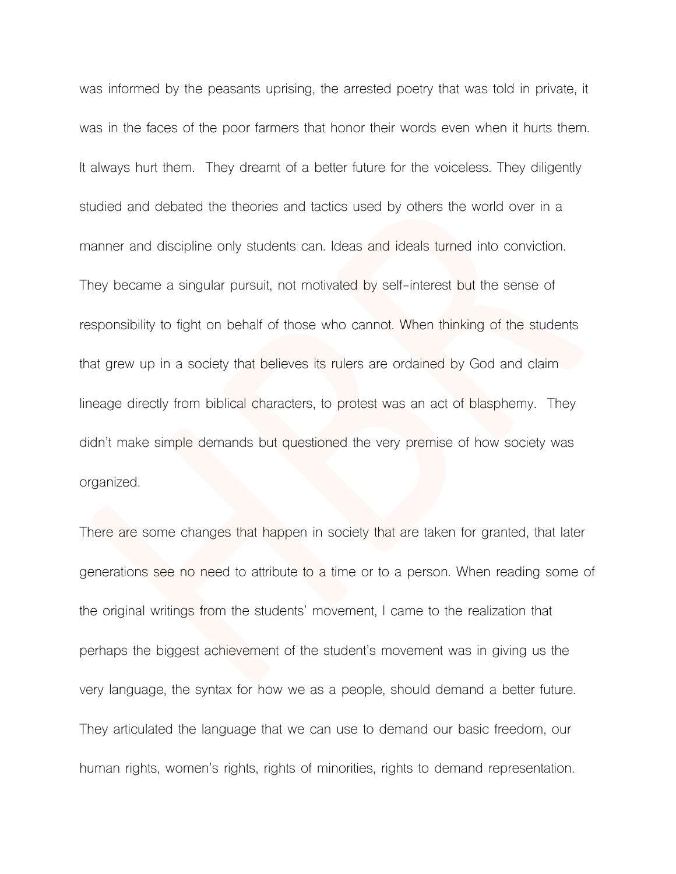was informed by the peasants uprising, the arrested poetry that was told in private, it was in the faces of the poor farmers that honor their words even when it hurts them. It always hurt them. They dreamt of a better future for the voiceless. They diligently studied and debated the theories and tactics used by others the world over in a manner and discipline only students can. Ideas and ideals turned into conviction. They became a singular pursuit, not motivated by self-interest but the sense of responsibility to fight on behalf of those who cannot. When thinking of the students that grew up in a society that believes its rulers are ordained by God and claim lineage directly from biblical characters, to protest was an act of blasphemy. They didn't make simple demands but questioned the very premise of how society was organized.

There are some changes that happen in society that are taken for granted, that later generations see no need to attribute to a time or to a person. When reading some of the original writings from the students' movement, I came to the realization that perhaps the biggest achievement of the student's movement was in giving us the very language, the syntax for how we as a people, should demand a better future. They articulated the language that we can use to demand our basic freedom, our human rights, women's rights, rights of minorities, rights to demand representation.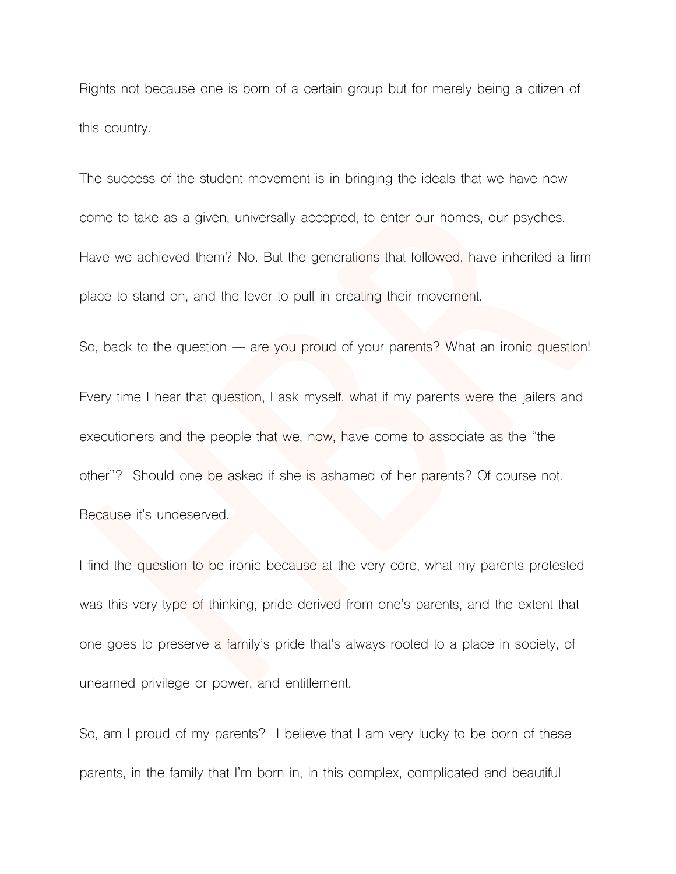Rights not because one is born of a certain group but for merely being a citizen of this country.

The success of the student movement is in bringing the ideals that we have now come to take as a given, universally accepted, to enter our homes, our psyches. Have we achieved them? No. But the generations that followed, have inherited a firm place to stand on, and the lever to pull in creating their movement.

So, back to the question — are you proud of your parents? What an ironic question!

Every time I hear that question, I ask myself, what if my parents were the jailers and executioners and the people that we, now, have come to associate as the "the other"? Should one be asked if she is ashamed of her parents? Of course not. Because it's undeserved.

I find the question to be ironic because at the very core, what my parents protested was this very type of thinking, pride derived from one's parents, and the extent that one goes to preserve a family's pride that's always rooted to a place in society, of unearned privilege or power, and entitlement.

So, am I proud of my parents? I believe that I am very lucky to be born of these parents, in the family that I'm born in, in this complex, complicated and beautiful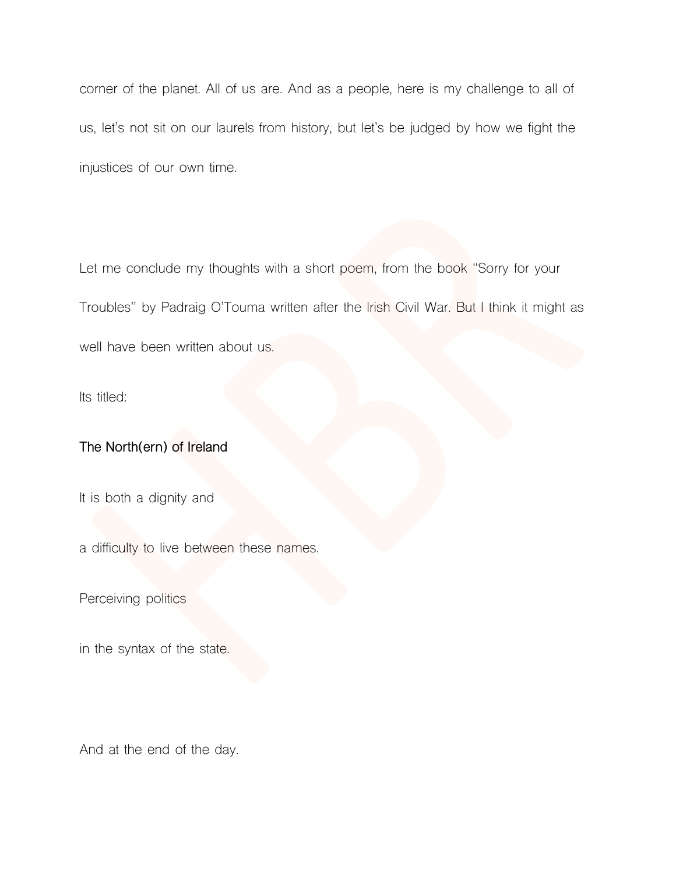corner of the planet. All of us are. And as a people, here is my challenge to all of us, let's not sit on our laurels from history, but let's be judged by how we fight the injustices of our own time.

Let me conclude my thoughts with a short poem, from the book "Sorry for your Troubles" by Padraig O'Touma written after the Irish Civil War. But I think it might as well have been written about us.

Its titled:

## **The North(ern) of Ireland**

It is both a dignity and

a difficulty to live between these names.

Perceiving politics

in the syntax of the state.

And at the end of the day.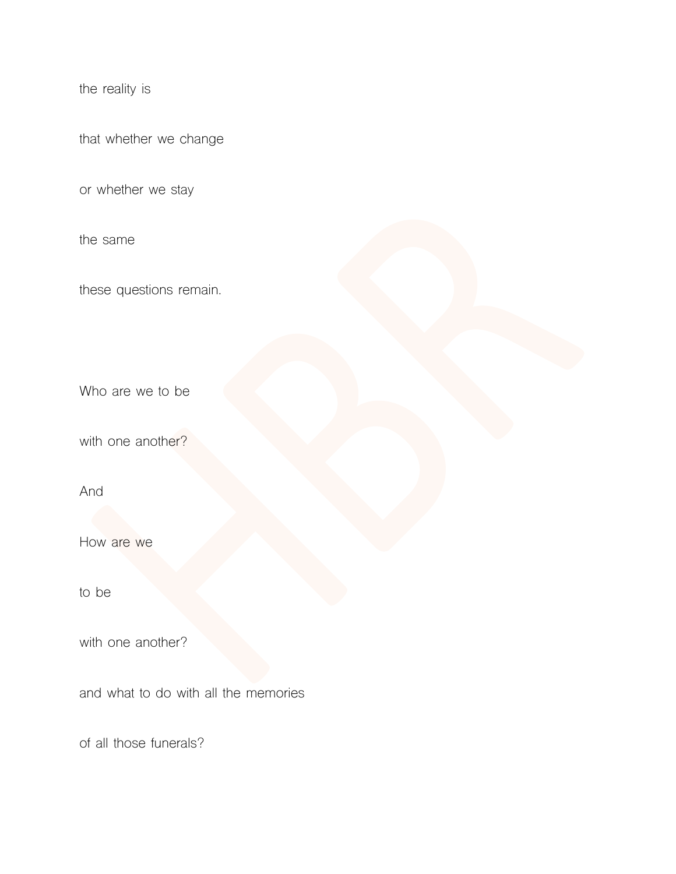the reality is

that whether we change

or whether we stay

the same

these questions remain.

Who are we to be

with one another?

And

How are we

to be

with one another?

and what to do with all the memories

of all those funerals?